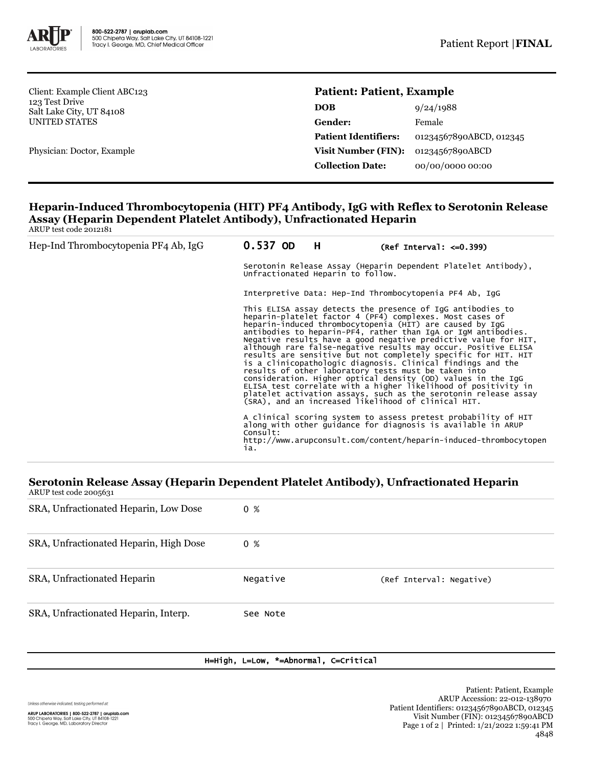

Client: Example Client ABC123 123 Test Drive Salt Lake City, UT 84108 UNITED STATES

Physician: Doctor, Example

# **Patient: Patient, Example**

| DOB                         | 9/24/1988               |
|-----------------------------|-------------------------|
| <b>Gender:</b>              | Female                  |
| <b>Patient Identifiers:</b> | 01234567890ABCD, 012345 |
| <b>Visit Number (FIN):</b>  | 01234567890ABCD         |
| <b>Collection Date:</b>     | 00/00/0000 00:00        |
|                             |                         |

### **Heparin-Induced Thrombocytopenia (HIT) PF4 Antibody, IgG with Reflex to Serotonin Release Assay (Heparin Dependent Platelet Antibody), Unfractionated Heparin** ARUP test code 2012181

| Hep-Ind Thrombocytopenia PF4 Ab, IgG | 0.537 OD        | H.                                                                                                                                                                                                                                                                                                                                                                                                                                                                                                                                                                                                                                                                                                                                                                                                                                            | $(Ref Interval: < = 0.399)$                                                                                                                                                                         |  |  |
|--------------------------------------|-----------------|-----------------------------------------------------------------------------------------------------------------------------------------------------------------------------------------------------------------------------------------------------------------------------------------------------------------------------------------------------------------------------------------------------------------------------------------------------------------------------------------------------------------------------------------------------------------------------------------------------------------------------------------------------------------------------------------------------------------------------------------------------------------------------------------------------------------------------------------------|-----------------------------------------------------------------------------------------------------------------------------------------------------------------------------------------------------|--|--|
|                                      |                 | Serotonin Release Assay (Heparin Dependent Platelet Antibody),<br>Unfractionated Heparin to follow.                                                                                                                                                                                                                                                                                                                                                                                                                                                                                                                                                                                                                                                                                                                                           |                                                                                                                                                                                                     |  |  |
|                                      |                 |                                                                                                                                                                                                                                                                                                                                                                                                                                                                                                                                                                                                                                                                                                                                                                                                                                               | Interpretive Data: Hep-Ind Thrombocytopenia PF4 Ab, IqG                                                                                                                                             |  |  |
|                                      |                 | This ELISA assay detects the presence of IgG antibodies to<br>heparin-platelet factor 4 (PF4) complexes. Most cases of<br>heparin-induced thrombocytopenia (HIT) are caused by IqG<br>antibodies to heparin-PF4, rather than IgA or IgM antibodies.<br>Negative results have a good negative predictive value for HIT,<br>although rare false-negative results may occur. Positive ELISA<br>results are sensitive but not completely specific for HIT. HIT<br>is a clinicopathologic diagnosis. Clinical findings and the<br>results of other laboratory tests must be taken into<br>consideration. Higher optical density (OD) values in the IgG<br>ELISA test correlate with a higher likelihood of positivity in<br>platelet activation assays, such as the serotonin release assay<br>(SRA), and an increased likelihood of clinical HIT. |                                                                                                                                                                                                     |  |  |
|                                      | Consuit:<br>ia. |                                                                                                                                                                                                                                                                                                                                                                                                                                                                                                                                                                                                                                                                                                                                                                                                                                               | A clinical scoring system to assess pretest probability of HIT<br>along with other quidance for diagnosis is available in ARUP<br>http://www.arupconsult.com/content/heparin-induced-thrombocytopen |  |  |

#### **Serotonin Release Assay (Heparin Dependent Platelet Antibody), Unfractionated Heparin** ARUP test code 2005631

| $1.1101$ test code 200.10.11           |          |                          |
|----------------------------------------|----------|--------------------------|
| SRA, Unfractionated Heparin, Low Dose  | 0 %      |                          |
| SRA, Unfractionated Heparin, High Dose | $0 \t%$  |                          |
| SRA, Unfractionated Heparin            | Negative | (Ref Interval: Negative) |
| SRA, Unfractionated Heparin, Interp.   | See Note |                          |

## H=High, L=Low, \*=Abnormal, C=Critical

Unless otherwise indicated, testing performed at: